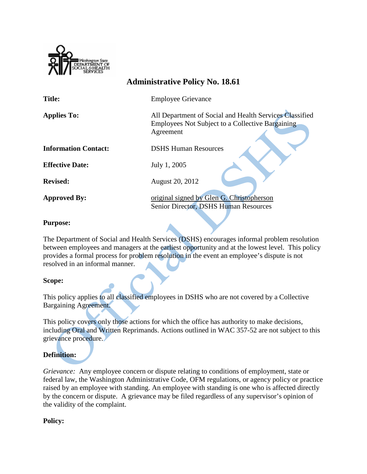

| <b>Administrative Policy No. 18.61</b> |                                                                                                                          |
|----------------------------------------|--------------------------------------------------------------------------------------------------------------------------|
| <b>Title:</b>                          | <b>Employee Grievance</b>                                                                                                |
| <b>Applies To:</b>                     | All Department of Social and Health Services Classified<br>Employees Not Subject to a Collective Bargaining<br>Agreement |
| <b>Information Contact:</b>            | <b>DSHS Human Resources</b>                                                                                              |
| <b>Effective Date:</b>                 | July 1, 2005                                                                                                             |
| <b>Revised:</b>                        | August 20, 2012                                                                                                          |
| <b>Approved By:</b>                    | original signed by Glen G. Christopherson<br>Senior Director, DSHS Human Resources                                       |

### **Purpose:**

The Department of Social and Health Services (DSHS) encourages informal problem resolution between employees and managers at the earliest opportunity and at the lowest level. This policy provides a formal process for problem resolution in the event an employee's dispute is not resolved in an informal manner.

## **Scope:**

This policy applies to all classified employees in DSHS who are not covered by a Collective Bargaining Agreement.

This policy covers only those actions for which the office has authority to make decisions, including Oral and Written Reprimands. Actions outlined in WAC 357-52 are not subject to this grievance procedure.

# **Definition:**

*Grievance:* Any employee concern or dispute relating to conditions of employment, state or federal law, the Washington Administrative Code, OFM regulations, or agency policy or practice raised by an employee with standing. An employee with standing is one who is affected directly by the concern or dispute. A grievance may be filed regardless of any supervisor's opinion of the validity of the complaint.

#### **Policy:**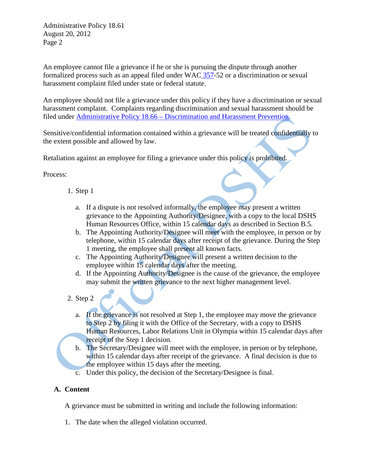Administrative Policy 18.61 August 20, 2012 Page 2

An employee cannot file a grievance if he or she is pursuing the dispute through another formalized process such as an appeal filed under WAC [357-](http://apps.leg.wa.gov/WAC/default.aspx?cite=357)52 or a discrimination or sexual harassment complaint filed under state or federal statute.

An employee should not file a grievance under this policy if they have a discrimination or sexual harassment complaint. Complaints regarding discrimination and sexual harassment should be filed under Administrative Policy 18.66 – [Discrimination and Harassment Prevention.](http://asd.dshs.wa.gov/rpau/rpau-adminpolicy.htm#chapter18)

Sensitive/confidential information contained within a grievance will be treated confidentially to the extent possible and allowed by law.

Retaliation against an employee for filing a grievance under this policy is prohibited.

Process:

- 1. Step 1
	- a. If a dispute is not resolved informally, the employee may present a written grievance to the Appointing Authority/Designee, with a copy to the local DSHS Human Resources Office, within 15 calendar days as described in Section B.5.
	- b. The Appointing Authority/Designee will meet with the employee, in person or by telephone, within 15 calendar days after receipt of the grievance. During the Step 1 meeting, the employee shall present all known facts.
	- c. The Appointing Authority/Designee will present a written decision to the employee within 15 calendar days after the meeting.
	- d. If the Appointing Authority/Designee is the cause of the grievance, the employee may submit the written grievance to the next higher management level.
- 2. Step 2
	- a. If the grievance is not resolved at Step 1, the employee may move the grievance to Step 2 by filing it with the Office of the Secretary, with a copy to DSHS Human Resources, Labor Relations Unit in Olympia within 15 calendar days after receipt of the Step 1 decision.
	- b. The Secretary/Designee will meet with the employee, in person or by telephone, within 15 calendar days after receipt of the grievance. A final decision is due to the employee within 15 days after the meeting.
	- c. Under this policy, the decision of the Secretary/Designee is final.

## **A. Content**

A grievance must be submitted in writing and include the following information:

1. The date when the alleged violation occurred.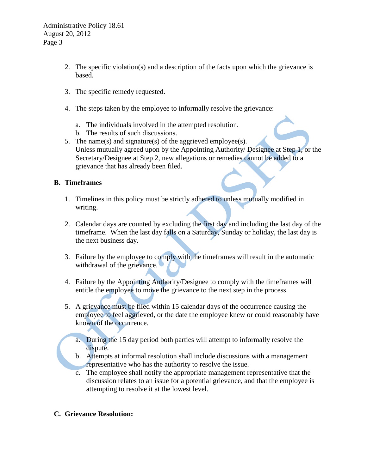Administrative Policy 18.61 August 20, 2012 Page 3

- 2. The specific violation(s) and a description of the facts upon which the grievance is based.
- 3. The specific remedy requested.
- 4. The steps taken by the employee to informally resolve the grievance:
	- a. The individuals involved in the attempted resolution.
	- b. The results of such discussions.
- 5. The name(s) and signature(s) of the aggrieved employee(s). Unless mutually agreed upon by the Appointing Authority/ Designee at Step 1, or the Secretary/Designee at Step 2, new allegations or remedies cannot be added to a grievance that has already been filed.

## **B. Timeframes**

- 1. Timelines in this policy must be strictly adhered to unless mutually modified in writing.
- 2. Calendar days are counted by excluding the first day and including the last day of the timeframe. When the last day falls on a Saturday, Sunday or holiday, the last day is the next business day.
- 3. Failure by the employee to comply with the timeframes will result in the automatic withdrawal of the grievance.
- 4. Failure by the Appointing Authority/Designee to comply with the timeframes will entitle the employee to move the grievance to the next step in the process.
- 5. A grievance must be filed within 15 calendar days of the occurrence causing the employee to feel aggrieved, or the date the employee knew or could reasonably have known of the occurrence.
	- a. During the 15 day period both parties will attempt to informally resolve the dispute.
	- b. Attempts at informal resolution shall include discussions with a management representative who has the authority to resolve the issue.
	- c. The employee shall notify the appropriate management representative that the discussion relates to an issue for a potential grievance, and that the employee is attempting to resolve it at the lowest level.
- **C. Grievance Resolution:**